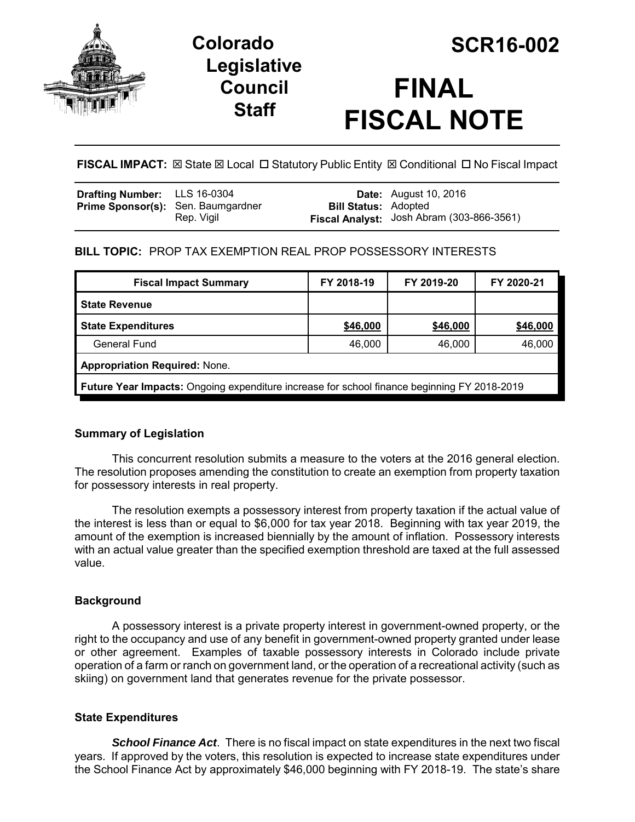

# **Legislative Council Staff**

# **FINAL FISCAL NOTE**

**FISCAL IMPACT:** ⊠ State ⊠ Local □ Statutory Public Entity **⊠ Conditional □ No Fiscal Impact** 

| <b>Drafting Number:</b> LLS 16-0304<br><b>Prime Sponsor(s):</b> Sen. Baumgardner |            | <b>Bill Status: Adopted</b> | <b>Date:</b> August 10, 2016              |
|----------------------------------------------------------------------------------|------------|-----------------------------|-------------------------------------------|
|                                                                                  | Rep. Vigil |                             | Fiscal Analyst: Josh Abram (303-866-3561) |

# **BILL TOPIC:** PROP TAX EXEMPTION REAL PROP POSSESSORY INTERESTS

| <b>Fiscal Impact Summary</b>                                                                       | FY 2018-19 | FY 2019-20 | FY 2020-21 |  |  |
|----------------------------------------------------------------------------------------------------|------------|------------|------------|--|--|
| <b>State Revenue</b>                                                                               |            |            |            |  |  |
| <b>State Expenditures</b>                                                                          | \$46,000   | \$46,000   | \$46,000   |  |  |
| General Fund                                                                                       | 46,000     | 46,000     | 46,000     |  |  |
| <b>Appropriation Required: None.</b>                                                               |            |            |            |  |  |
| <b>Future Year Impacts:</b> Ongoing expenditure increase for school finance beginning FY 2018-2019 |            |            |            |  |  |

# **Summary of Legislation**

This concurrent resolution submits a measure to the voters at the 2016 general election. The resolution proposes amending the constitution to create an exemption from property taxation for possessory interests in real property.

The resolution exempts a possessory interest from property taxation if the actual value of the interest is less than or equal to \$6,000 for tax year 2018. Beginning with tax year 2019, the amount of the exemption is increased biennially by the amount of inflation. Possessory interests with an actual value greater than the specified exemption threshold are taxed at the full assessed value.

# **Background**

A possessory interest is a private property interest in government-owned property, or the right to the occupancy and use of any benefit in government-owned property granted under lease or other agreement. Examples of taxable possessory interests in Colorado include private operation of a farm or ranch on government land, or the operation of a recreational activity (such as skiing) on government land that generates revenue for the private possessor.

# **State Expenditures**

*School Finance Act*. There is no fiscal impact on state expenditures in the next two fiscal years. If approved by the voters, this resolution is expected to increase state expenditures under the School Finance Act by approximately \$46,000 beginning with FY 2018-19. The state's share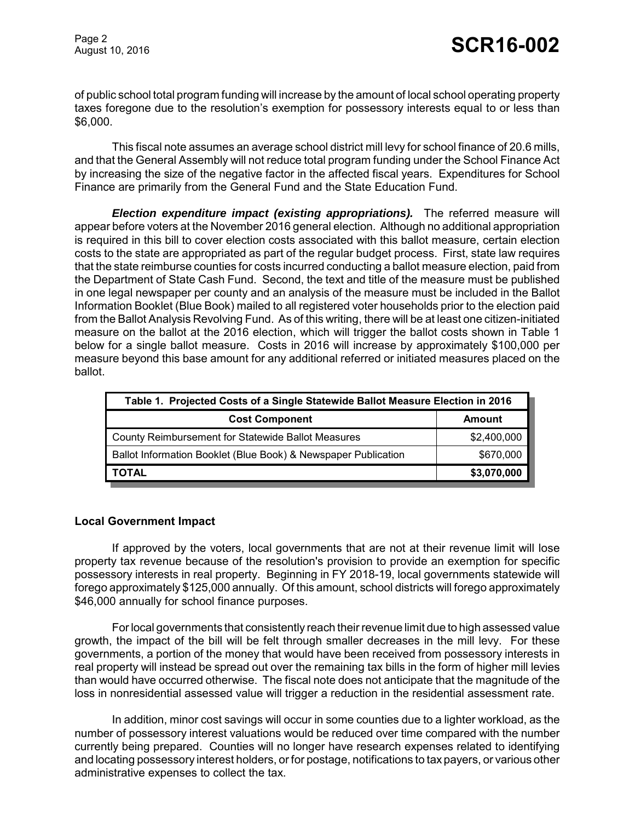of public school total program funding will increase by the amount of local school operating property taxes foregone due to the resolution's exemption for possessory interests equal to or less than \$6,000.

This fiscal note assumes an average school district mill levy for school finance of 20.6 mills, and that the General Assembly will not reduce total program funding under the School Finance Act by increasing the size of the negative factor in the affected fiscal years. Expenditures for School Finance are primarily from the General Fund and the State Education Fund.

*Election expenditure impact (existing appropriations).* The referred measure will appear before voters at the November 2016 general election. Although no additional appropriation is required in this bill to cover election costs associated with this ballot measure, certain election costs to the state are appropriated as part of the regular budget process. First, state law requires that the state reimburse counties for costs incurred conducting a ballot measure election, paid from the Department of State Cash Fund. Second, the text and title of the measure must be published in one legal newspaper per county and an analysis of the measure must be included in the Ballot Information Booklet (Blue Book) mailed to all registered voter households prior to the election paid from the Ballot Analysis Revolving Fund. As of this writing, there will be at least one citizen-initiated measure on the ballot at the 2016 election, which will trigger the ballot costs shown in Table 1 below for a single ballot measure. Costs in 2016 will increase by approximately \$100,000 per measure beyond this base amount for any additional referred or initiated measures placed on the ballot.

| Table 1. Projected Costs of a Single Statewide Ballot Measure Election in 2016 |             |  |  |  |
|--------------------------------------------------------------------------------|-------------|--|--|--|
| <b>Cost Component</b>                                                          | Amount      |  |  |  |
| <b>County Reimbursement for Statewide Ballot Measures</b>                      | \$2,400,000 |  |  |  |
| Ballot Information Booklet (Blue Book) & Newspaper Publication                 | \$670,000   |  |  |  |
| <b>TOTAL</b>                                                                   | \$3,070,000 |  |  |  |

#### **Local Government Impact**

If approved by the voters, local governments that are not at their revenue limit will lose property tax revenue because of the resolution's provision to provide an exemption for specific possessory interests in real property. Beginning in FY 2018-19, local governments statewide will forego approximately \$125,000 annually. Of this amount, school districts will forego approximately \$46,000 annually for school finance purposes.

For local governments that consistently reach their revenue limit due to high assessed value growth, the impact of the bill will be felt through smaller decreases in the mill levy. For these governments, a portion of the money that would have been received from possessory interests in real property will instead be spread out over the remaining tax bills in the form of higher mill levies than would have occurred otherwise. The fiscal note does not anticipate that the magnitude of the loss in nonresidential assessed value will trigger a reduction in the residential assessment rate.

In addition, minor cost savings will occur in some counties due to a lighter workload, as the number of possessory interest valuations would be reduced over time compared with the number currently being prepared. Counties will no longer have research expenses related to identifying and locating possessory interest holders, or for postage, notifications to tax payers, or various other administrative expenses to collect the tax.